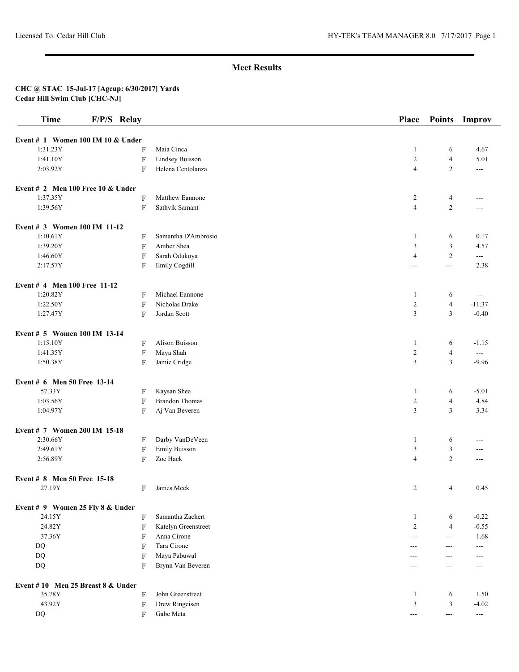| <b>Time</b>                         | F/P/S Relay               |                       | Place          | <b>Points</b>  | Improv                   |
|-------------------------------------|---------------------------|-----------------------|----------------|----------------|--------------------------|
| Event # 1 Women 100 IM 10 & Under   |                           |                       |                |                |                          |
| 1:31.23Y                            | F                         | Maia Cinca            | $\mathbf{1}$   | 6              | 4.67                     |
| 1:41.10Y                            | $\boldsymbol{\mathrm{F}}$ | Lindsey Buisson       | $\overline{2}$ | $\overline{4}$ | 5.01                     |
| 2:03.92Y                            | F                         | Helena Centolanza     | $\overline{4}$ | $\overline{c}$ | $---$                    |
| Event # 2 Men 100 Free 10 $&$ Under |                           |                       |                |                |                          |
| 1:37.35Y                            | F                         | Matthew Eannone       | $\overline{c}$ | $\overline{4}$ | ---                      |
| 1:39.56Y                            | F                         | Sathvik Samant        | $\overline{4}$ | $\overline{2}$ | ---                      |
| Event # 3 Women 100 IM 11-12        |                           |                       |                |                |                          |
| 1:10.61Y                            | F                         | Samantha D'Ambrosio   | -1             | 6              | 0.17                     |
| 1:39.20Y                            | F                         | Amber Shea            | 3              | 3              | 4.57                     |
| 1:46.60Y                            | F                         | Sarah Odukoya         | $\overline{4}$ | $\overline{c}$ | $\overline{a}$           |
| 2:17.57Y                            | F                         | Emily Cogdill         | $\overline{a}$ | ---            | 2.38                     |
| Event # 4 Men 100 Free 11-12        |                           |                       |                |                |                          |
| 1:20.82Y                            | F                         | Michael Eannone       | $\mathbf{1}$   | 6              | $\overline{a}$           |
| 1:22.50Y                            | F                         | Nicholas Drake        | $\overline{c}$ | $\overline{4}$ | $-11.37$                 |
| 1:27.47Y                            | F                         | Jordan Scott          | 3              | 3              | $-0.40$                  |
| Event # 5 Women 100 IM 13-14        |                           |                       |                |                |                          |
| 1:15.10Y                            | F                         | Alison Buisson        | $\mathbf{1}$   | 6              | $-1.15$                  |
| 1:41.35Y                            | F                         | Maya Shah             | $\overline{2}$ | $\overline{4}$ | $\sim$ $\sim$            |
| 1:50.38Y                            | F                         | Jamie Cridge          | 3              | 3              | $-9.96$                  |
| Event # 6 Men 50 Free 13-14         |                           |                       |                |                |                          |
| 57.33Y                              | F                         | Kaysan Shea           | $\mathbf{1}$   | 6              | $-5.01$                  |
| 1:03.56Y                            | F                         | <b>Brandon Thomas</b> | $\overline{c}$ | $\overline{4}$ | 4.84                     |
| 1:04.97Y                            | F                         | Aj Van Beveren        | 3              | 3              | 3.34                     |
| Event # 7 Women 200 IM 15-18        |                           |                       |                |                |                          |
| 2:30.66Y                            | F                         | Darby VanDeVeen       | 1              | 6              | ---                      |
| 2:49.61Y                            | $\boldsymbol{\mathrm{F}}$ | <b>Emily Buisson</b>  | 3              | 3              | ---                      |
| 2:56.89Y                            | F                         | Zoe Hack              | $\overline{4}$ | $\overline{2}$ | $---$                    |
| Event # 8 Men 50 Free 15-18         |                           |                       |                |                |                          |
| 27.19Y                              | F                         | James Meek            | 2              | $\overline{4}$ | 0.45                     |
| Event # 9 Women 25 Fly 8 & Under    |                           |                       |                |                |                          |
| 24.15Y                              | F                         | Samantha Zachert      | $\mathbf{1}$   | 6              | $-0.22$                  |
| 24.82Y                              | F                         | Katelyn Greenstreet   | $\overline{2}$ | $\overline{4}$ | $-0.55$                  |
| 37.36Y                              | F                         | Anna Cirone           | ---            | ---            | 1.68                     |
| DQ                                  | F                         | Tara Cirone           | ---            | ---            | ---                      |
| $\mathbf{D}\mathbf{Q}$              | F                         | Maya Pabuwal          | $---$          | ---            | ---                      |
| $\rm DQ$                            | F                         | Brynn Van Beveren     | ---            | ---            | ---                      |
| Event #10 Men 25 Breast 8 & Under   |                           |                       |                |                |                          |
| 35.78Y                              | F                         | John Greenstreet      | $\mathbf{1}$   | 6              | 1.50                     |
| 43.92Y                              | $\boldsymbol{\mathrm{F}}$ | Drew Ringeisen        | $\mathfrak{Z}$ | 3              | $-4.02$                  |
| $\rm DQ$                            | F                         | Gabe Meta             | $\sim$ $\sim$  | $\sim$ $\sim$  | $\hspace{0.05cm} \ldots$ |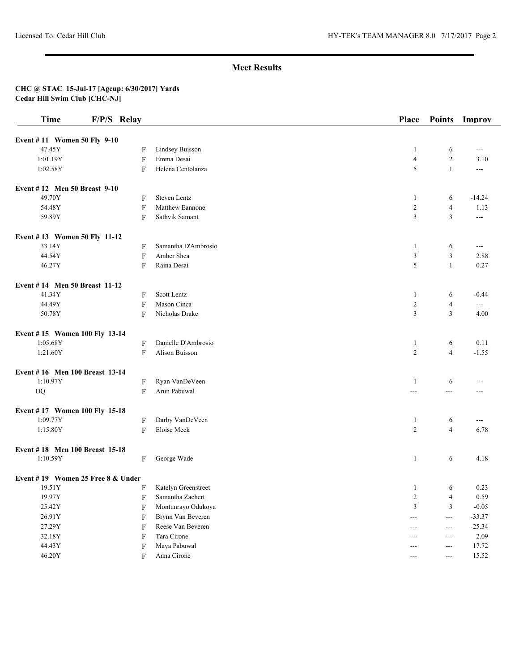| <b>Time</b>                       | F/P/S Relay               |                     | <b>Place</b>   | <b>Points</b>     | Improv               |
|-----------------------------------|---------------------------|---------------------|----------------|-------------------|----------------------|
| Event #11 Women 50 Fly 9-10       |                           |                     |                |                   |                      |
| 47.45Y                            | F                         | Lindsey Buisson     | 1              | 6                 | $\sim$ $\sim$        |
| 1:01.19Y                          | $\boldsymbol{\mathrm{F}}$ | Emma Desai          | $\overline{4}$ | $\overline{c}$    | 3.10                 |
| 1:02.58Y                          | F                         | Helena Centolanza   | 5              | $\mathbf{1}$      | $\sim$ $\sim$        |
| Event #12 Men 50 Breast 9-10      |                           |                     |                |                   |                      |
| 49.70Y                            | F                         | Steven Lentz        | $\mathbf{1}$   | 6                 | $-14.24$             |
| 54.48Y                            | F                         | Matthew Eannone     | $\sqrt{2}$     | 4                 | 1.13                 |
| 59.89Y                            | F                         | Sathvik Samant      | 3              | 3                 | $\sim$ $\sim$        |
| Event #13 Women 50 Fly 11-12      |                           |                     |                |                   |                      |
| 33.14Y                            | F                         | Samantha D'Ambrosio | 1              | 6                 | $\scriptstyle\cdots$ |
| 44.54Y                            | $\boldsymbol{\mathrm{F}}$ | Amber Shea          | $\mathfrak{Z}$ | 3                 | 2.88                 |
| 46.27Y                            | F                         | Raina Desai         | 5              | $\mathbf{1}$      | 0.27                 |
| Event #14 Men 50 Breast 11-12     |                           |                     |                |                   |                      |
| 41.34Y                            | F                         | Scott Lentz         | 1              | 6                 | $-0.44$              |
| 44.49Y                            | F                         | Mason Cinca         | $\overline{2}$ | $\overline{4}$    | $\overline{a}$       |
| 50.78Y                            | F                         | Nicholas Drake      | 3              | 3                 | 4.00                 |
| Event #15 Women 100 Fly 13-14     |                           |                     |                |                   |                      |
| 1:05.68Y                          | F                         | Danielle D'Ambrosio | 1              | 6                 | 0.11                 |
| 1:21.60Y                          | F                         | Alison Buisson      | $\overline{2}$ | $\overline{4}$    | $-1.55$              |
| Event #16 Men 100 Breast 13-14    |                           |                     |                |                   |                      |
| 1:10.97Y                          | F                         | Ryan VanDeVeen      | $\mathbf{1}$   | 6                 | ---                  |
| DQ                                | F                         | Arun Pabuwal        | $ -$           | ---               | ---                  |
| Event #17 Women 100 Fly 15-18     |                           |                     |                |                   |                      |
| 1:09.77Y                          | F                         | Darby VanDeVeen     | 1              | 6                 | $\cdots$             |
| 1:15.80Y                          | F                         | Eloise Meek         | 2              | $\overline{4}$    | 6.78                 |
| Event #18 Men 100 Breast 15-18    |                           |                     |                |                   |                      |
| 1:10.59Y                          | F                         | George Wade         | 1              | 6                 | 4.18                 |
| Event #19 Women 25 Free 8 & Under |                           |                     |                |                   |                      |
| 19.51Y                            | F                         | Katelyn Greenstreet | $\mathbf{1}$   | 6                 | 0.23                 |
| 19.97Y                            | F                         | Samantha Zachert    | $\overline{c}$ | $\overline{4}$    | 0.59                 |
| 25.42Y                            | F                         | Montunrayo Odukoya  | 3              | 3                 | $-0.05$              |
| 26.91Y                            | ${\bf F}$                 | Brynn Van Beveren   | $--$           | $\sim$ $\sim$     | $-33.37$             |
| 27.29Y                            | F                         | Reese Van Beveren   | $---$          | $\qquad \qquad -$ | $-25.34$             |
| 32.18Y                            | F                         | Tara Cirone         | ---            | ---               | 2.09                 |
| 44.43Y                            | $\boldsymbol{\mathrm{F}}$ | Maya Pabuwal        | $---$          | ---               | 17.72                |
| 46.20Y                            | F                         | Anna Cirone         | ---            | $--$              | 15.52                |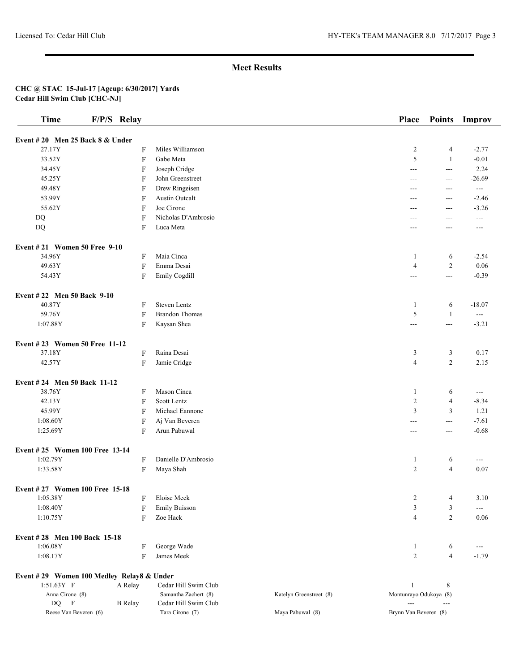| <b>Time</b>                               | F/P/S Relay    |                                              |                         | Place                  | <b>Points</b>       | Improv              |
|-------------------------------------------|----------------|----------------------------------------------|-------------------------|------------------------|---------------------|---------------------|
| Event #20 Men 25 Back $8 &$ Under         |                |                                              |                         |                        |                     |                     |
| 27.17Y                                    | F              | Miles Williamson                             |                         | $\overline{c}$         | $\overline{4}$      | $-2.77$             |
| 33.52Y                                    | F              | Gabe Meta                                    |                         | 5                      | $\mathbf{1}$        | $-0.01$             |
| 34.45Y                                    | F              | Joseph Cridge                                |                         | ---                    | $\sim$ $\sim$       | 2.24                |
| 45.25Y                                    | F              | John Greenstreet                             |                         | ---                    | $\overline{a}$      | $-26.69$            |
| 49.48Y                                    | F              | Drew Ringeisen                               |                         | ---                    | $---$               | $\qquad \qquad - -$ |
| 53.99Y                                    | F              | Austin Outcalt                               |                         | ---                    | ---                 | $-2.46$             |
| 55.62Y                                    | F              | Joe Cirone                                   |                         | ---                    | ---                 | $-3.26$             |
| DQ                                        | F              | Nicholas D'Ambrosio                          |                         | ---                    | $---$               | $\sim$ $\sim$       |
| DQ                                        | F              | Luca Meta                                    |                         | $---$                  | $---$               | $---$               |
| Event #21 Women 50 Free 9-10              |                |                                              |                         |                        |                     |                     |
| 34.96Y                                    | F              | Maia Cinca                                   |                         | $\mathbf{1}$           | 6                   | $-2.54$             |
| 49.63Y                                    | F              | Emma Desai                                   |                         | $\overline{4}$         | $\overline{c}$      | 0.06                |
| 54.43Y                                    | ${\bf F}$      | Emily Cogdill                                |                         | $\overline{a}$         | $\overline{a}$      | $-0.39$             |
| Event #22 Men 50 Back 9-10                |                |                                              |                         |                        |                     |                     |
| 40.87Y                                    | F              | Steven Lentz                                 |                         | $\mathbf{1}$           | 6                   | $-18.07$            |
| 59.76Y                                    | F              | <b>Brandon Thomas</b>                        |                         | 5                      | $\mathbf{1}$        | $-$                 |
| 1:07.88Y                                  | F              | Kaysan Shea                                  |                         | $--$                   | $\qquad \qquad - -$ | $-3.21$             |
| Event #23 Women 50 Free 11-12             |                |                                              |                         |                        |                     |                     |
| 37.18Y                                    | F              | Raina Desai                                  |                         | 3                      | 3                   | 0.17                |
| 42.57Y                                    | F              | Jamie Cridge                                 |                         | $\overline{4}$         | $\overline{c}$      | 2.15                |
| Event #24 Men 50 Back 11-12               |                |                                              |                         |                        |                     |                     |
| 38.76Y                                    | F              | Mason Cinca                                  |                         | $\mathbf{1}$           | 6                   | $\overline{a}$      |
| 42.13Y                                    | F              | Scott Lentz                                  |                         | $\overline{c}$         | $\overline{4}$      | $-8.34$             |
| 45.99Y                                    | F              | Michael Eannone                              |                         | 3                      | 3                   | 1.21                |
| 1:08.60Y                                  | F              | Aj Van Beveren                               |                         | $---$                  | $\qquad \qquad - -$ | $-7.61$             |
| 1:25.69Y                                  | F              | Arun Pabuwal                                 |                         | $---$                  | $\overline{a}$      | $-0.68$             |
| Event #25 Women 100 Free 13-14            |                |                                              |                         |                        |                     |                     |
| 1:02.79Y                                  | F              | Danielle D'Ambrosio                          |                         | $\mathbf{1}$           | 6                   | $\qquad \qquad -$   |
| 1:33.58Y                                  | F              | Maya Shah                                    |                         | $\overline{c}$         | $\overline{4}$      | 0.07                |
| Event #27 Women 100 Free 15-18            |                |                                              |                         |                        |                     |                     |
| 1:05.38Y                                  | F              | Eloise Meek                                  |                         | $\overline{c}$         | $\overline{4}$      | 3.10                |
| 1:08.40Y                                  | F              | <b>Emily Buisson</b>                         |                         | 3                      | 3                   | ---                 |
| 1:10.75Y                                  | F              | Zoe Hack                                     |                         | $\overline{4}$         | $\overline{c}$      | 0.06                |
| Event #28 Men 100 Back 15-18              |                |                                              |                         |                        |                     |                     |
| 1:06.08Y                                  | F              | George Wade                                  |                         | $\mathbf{1}$           | 6                   | ---                 |
| 1:08.17Y                                  | F              | James Meek                                   |                         | $\overline{c}$         | $\overline{4}$      | $-1.79$             |
| Event #29 Women 100 Medley Relay8 & Under |                |                                              |                         |                        |                     |                     |
| $1:51.63Y$ F                              | A Relay        | Cedar Hill Swim Club                         |                         | 1                      | 8                   |                     |
| Anna Cirone (8)<br>DQ F                   | <b>B</b> Relay | Samantha Zachert (8)<br>Cedar Hill Swim Club | Katelyn Greenstreet (8) | Montunrayo Odukoya (8) | ---                 |                     |
| Reese Van Beveren (6)                     |                | Tara Cirone (7)                              | Maya Pabuwal (8)        | Brynn Van Beveren (8)  |                     |                     |